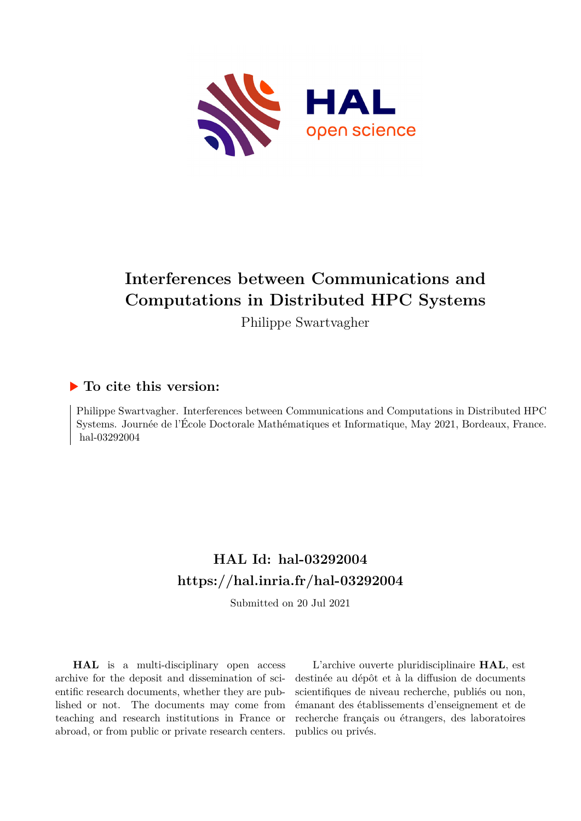

#### **Interferences between Communications and Computations in Distributed HPC Systems**

Philippe Swartvagher

#### **To cite this version:**

Philippe Swartvagher. Interferences between Communications and Computations in Distributed HPC Systems. Journée de l'École Doctorale Mathématiques et Informatique, May 2021, Bordeaux, France. hal-03292004

#### **HAL Id: hal-03292004 <https://hal.inria.fr/hal-03292004>**

Submitted on 20 Jul 2021

**HAL** is a multi-disciplinary open access archive for the deposit and dissemination of scientific research documents, whether they are published or not. The documents may come from teaching and research institutions in France or abroad, or from public or private research centers.

L'archive ouverte pluridisciplinaire **HAL**, est destinée au dépôt et à la diffusion de documents scientifiques de niveau recherche, publiés ou non, émanant des établissements d'enseignement et de recherche français ou étrangers, des laboratoires publics ou privés.